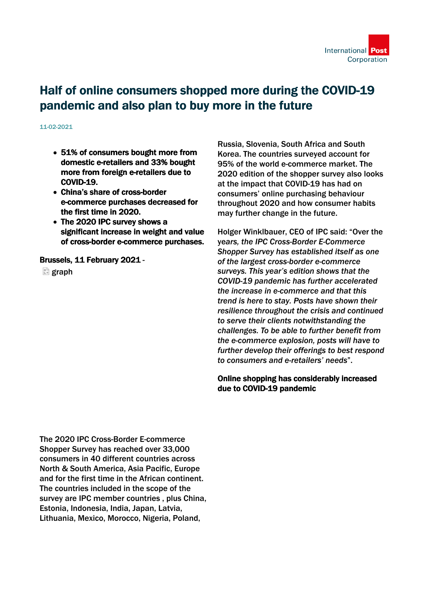

## Half of online consumers shopped more during the COVID-19 pandemic and also plan to buy more in the future

11-02-2021

- 51% of consumers bought more from domestic e-retailers and 33% bought more from foreign e-retailers due to COVID-19.
- China's share of cross-border e-commerce purchases decreased for the first time in 2020.
- The 2020 IPC survey shows a significant increase in weight and value of cross-border e-commerce purchases.

Brussels, 11 February 2021 -

 $\Box$  graph

Russia, Slovenia, South Africa and South Korea. The countries surveyed account for 95% of the world e-commerce market. The 2020 edition of the shopper survey also looks at the impact that COVID-19 has had on consumers' online purchasing behaviour throughout 2020 and how consumer habits may further change in the future.

Holger Winklbauer, CEO of IPC said: "Over the ye*ars, the IPC Cross-Border E-Commerce Shopper Survey has established itself as one of the largest cross-border e-commerce surveys. This year's edition shows that the COVID-19 pandemic has further accelerated the increase in e-commerce and that this trend is here to stay. Posts have shown their resilience throughout the crisis and continued to serve their clients notwithstanding the challenges. To be able to further benefit from the e-commerce explosion, posts will have to further develop their offerings to best respond to consumers and e-retailers' needs*".

Online shopping has considerably increased due to COVID-19 pandemic

The 2020 IPC Cross-Border E-commerce Shopper Survey has reached over 33,000 consumers in 40 different countries across North & South America, Asia Pacific, Europe and for the first time in the African continent. The countries included in the scope of the survey are IPC member countries , plus China, Estonia, Indonesia, India, Japan, Latvia, Lithuania, Mexico, Morocco, Nigeria, Poland,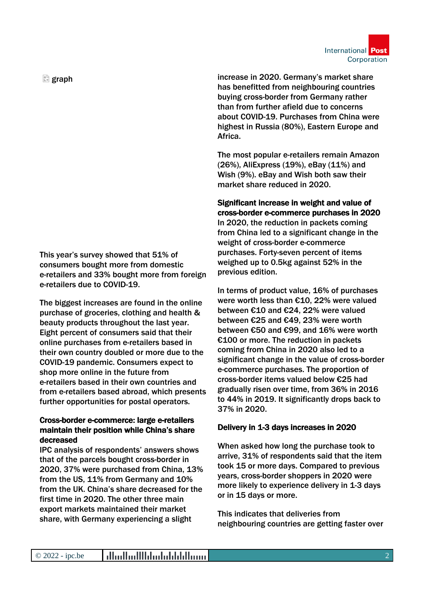International Post Corporation

 $\Box$  graph

This year's survey showed that 51% of consumers bought more from domestic e-retailers and 33% bought more from foreign e-retailers due to COVID-19.

The biggest increases are found in the online purchase of groceries, clothing and health & beauty products throughout the last year. Eight percent of consumers said that their online purchases from e-retailers based in their own country doubled or more due to the COVID-19 pandemic. Consumers expect to shop more online in the future from e-retailers based in their own countries and from e-retailers based abroad, which presents further opportunities for postal operators.

## Cross-border e-commerce: large e-retailers maintain their position while China's share decreased

IPC analysis of respondents' answers shows that of the parcels bought cross-border in 2020, 37% were purchased from China, 13% from the US, 11% from Germany and 10% from the UK. China's share decreased for the first time in 2020. The other three main export markets maintained their market share, with Germany experiencing a slight

increase in 2020. Germany's market share has benefitted from neighbouring countries buying cross-border from Germany rather than from further afield due to concerns about COVID-19. Purchases from China were highest in Russia (80%), Eastern Europe and Africa.

The most popular e-retailers remain Amazon (26%), AliExpress (19%), eBay (11%) and Wish (9%). eBay and Wish both saw their market share reduced in 2020.

Significant increase in weight and value of cross-border e-commerce purchases in 2020 In 2020, the reduction in packets coming from China led to a significant change in the weight of cross-border e-commerce purchases. Forty-seven percent of items weighed up to 0.5kg against 52% in the previous edition.

In terms of product value, 16% of purchases were worth less than €10, 22% were valued between €10 and €24, 22% were valued between €25 and €49, 23% were worth between €50 and €99, and 16% were worth €100 or more. The reduction in packets coming from China in 2020 also led to a significant change in the value of cross-border e-commerce purchases. The proportion of cross-border items valued below €25 had gradually risen over time, from 36% in 2016 to 44% in 2019. It significantly drops back to 37% in 2020.

## Delivery in 1-3 days increases in 2020

When asked how long the purchase took to arrive, 31% of respondents said that the item took 15 or more days. Compared to previous years, cross-border shoppers in 2020 were more likely to experience delivery in 1-3 days or in 15 days or more.

This indicates that deliveries from neighbouring countries are getting faster over